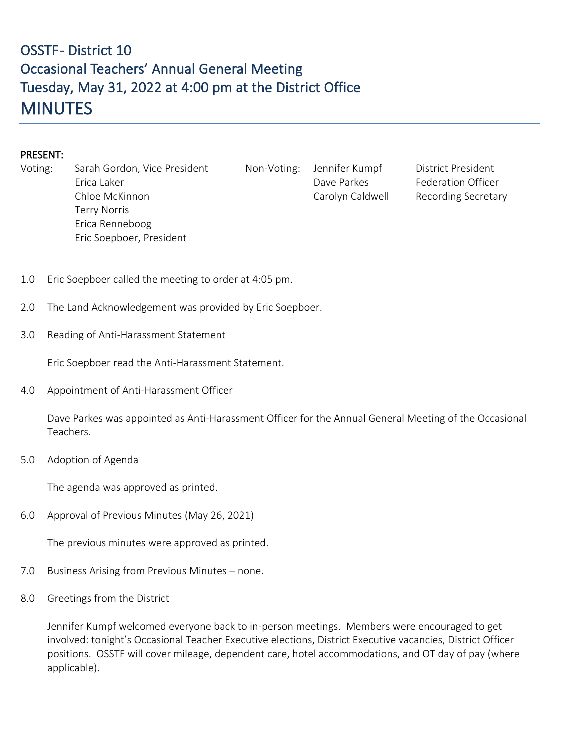## OSSTF-District 10 Occasional Teachers' Annual General Meeting Tuesday, May 31, 2022 at 4:00 pm at the District Office **MINUTES**

## PRESENT:

| Voting: | Sarah Gordon, Vice President | Non-Voti |
|---------|------------------------------|----------|
|         | Erica Laker                  |          |
|         | Chloe McKinnon               |          |
|         | <b>Terry Norris</b>          |          |
|         | Erica Renneboog              |          |
|         | Eric Soepboer, President     |          |
|         |                              |          |

ng: Jennifer Kumpf District President Dave Parkes Federation Officer Carolyn Caldwell Recording Secretary

- 1.0 Eric Soepboer called the meeting to order at 4:05 pm.
- 2.0 The Land Acknowledgement was provided by Eric Soepboer.
- 3.0 Reading of Anti-Harassment Statement

Eric Soepboer read the Anti-Harassment Statement.

4.0 Appointment of Anti-Harassment Officer

Dave Parkes was appointed as Anti-Harassment Officer for the Annual General Meeting of the Occasional Teachers.

5.0 Adoption of Agenda

The agenda was approved as printed.

6.0 Approval of Previous Minutes (May 26, 2021)

The previous minutes were approved as printed.

- 7.0 Business Arising from Previous Minutes none.
- 8.0 Greetings from the District

Jennifer Kumpf welcomed everyone back to in-person meetings. Members were encouraged to get involved: tonight's Occasional Teacher Executive elections, District Executive vacancies, District Officer positions. OSSTF will cover mileage, dependent care, hotel accommodations, and OT day of pay (where applicable).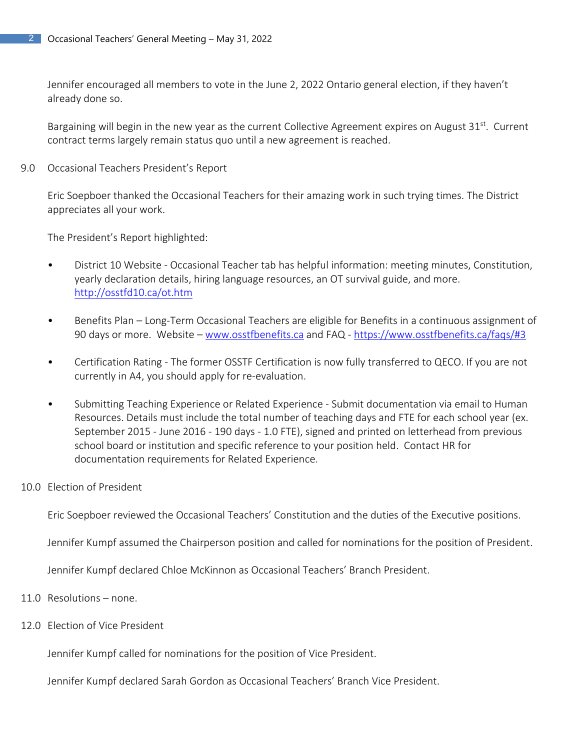Jennifer encouraged all members to vote in the June 2, 2022 Ontario general election, if they haven't already done so.

Bargaining will begin in the new year as the current Collective Agreement expires on August  $31^{st}$ . Current contract terms largely remain status quo until a new agreement is reached.

9.0 Occasional Teachers President's Report

Eric Soepboer thanked the Occasional Teachers for their amazing work in such trying times. The District appreciates all your work.

The President's Report highlighted:

- District 10 Website Occasional Teacher tab has helpful information: meeting minutes, Constitution, yearly declaration details, hiring language resources, an OT survival guide, and more. <http://osstfd10.ca/ot.htm>
- Benefits Plan Long-Term Occasional Teachers are eligible for Benefits in a continuous assignment of 90 days or more. Website – [www.osstfbenefits.ca](http://www.osstfbenefits.ca/) and FAQ - <https://www.osstfbenefits.ca/faqs/#3>
- Certification Rating The former OSSTF Certification is now fully transferred to QECO. If you are not currently in A4, you should apply for re-evaluation.
- Submitting Teaching Experience or Related Experience Submit documentation via email to Human Resources. Details must include the total number of teaching days and FTE for each school year (ex. September 2015 - June 2016 - 190 days - 1.0 FTE), signed and printed on letterhead from previous school board or institution and specific reference to your position held. Contact HR for documentation requirements for Related Experience.

## 10.0 Election of President

Eric Soepboer reviewed the Occasional Teachers' Constitution and the duties of the Executive positions.

Jennifer Kumpf assumed the Chairperson position and called for nominations for the position of President.

Jennifer Kumpf declared Chloe McKinnon as Occasional Teachers' Branch President.

- 11.0 Resolutions none.
- 12.0 Election of Vice President

Jennifer Kumpf called for nominations for the position of Vice President.

Jennifer Kumpf declared Sarah Gordon as Occasional Teachers' Branch Vice President.